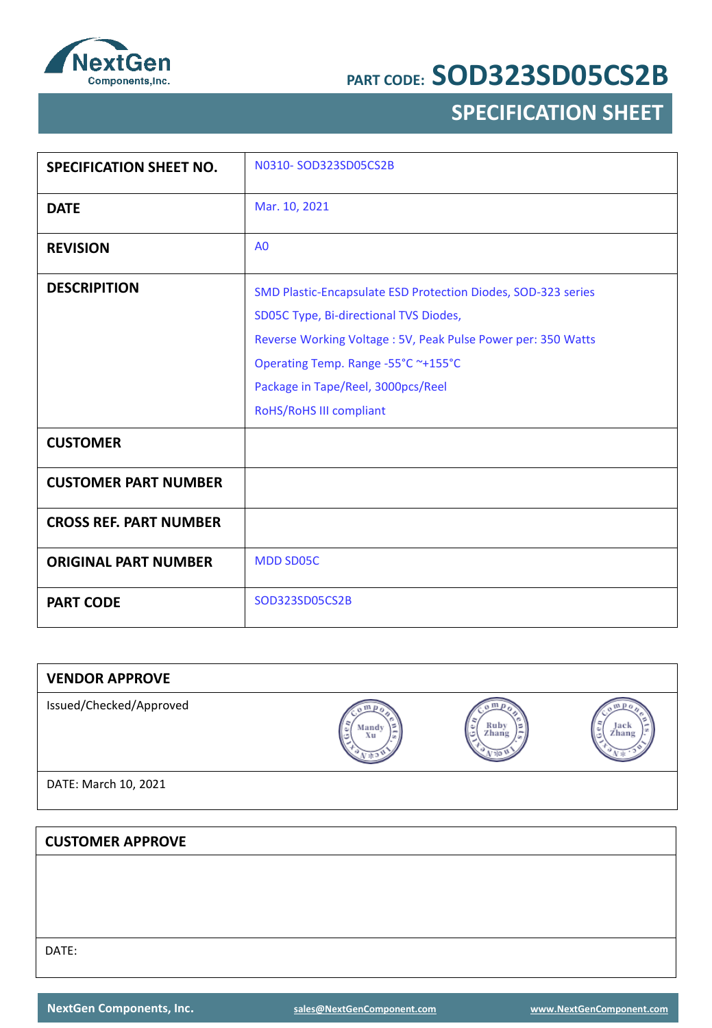

## **SPECIFICATION SHEET**

| <b>SPECIFICATION SHEET NO.</b> | N0310-SOD323SD05CS2B                                                                                                                                                                                                                                                            |
|--------------------------------|---------------------------------------------------------------------------------------------------------------------------------------------------------------------------------------------------------------------------------------------------------------------------------|
| <b>DATE</b>                    | Mar. 10, 2021                                                                                                                                                                                                                                                                   |
| <b>REVISION</b>                | A <sub>0</sub>                                                                                                                                                                                                                                                                  |
| <b>DESCRIPITION</b>            | SMD Plastic-Encapsulate ESD Protection Diodes, SOD-323 series<br>SD05C Type, Bi-directional TVS Diodes,<br>Reverse Working Voltage: 5V, Peak Pulse Power per: 350 Watts<br>Operating Temp. Range -55°C ~+155°C<br>Package in Tape/Reel, 3000pcs/Reel<br>RoHS/RoHS III compliant |
| <b>CUSTOMER</b>                |                                                                                                                                                                                                                                                                                 |
| <b>CUSTOMER PART NUMBER</b>    |                                                                                                                                                                                                                                                                                 |
| <b>CROSS REF. PART NUMBER</b>  |                                                                                                                                                                                                                                                                                 |
| <b>ORIGINAL PART NUMBER</b>    | <b>MDD SD05C</b>                                                                                                                                                                                                                                                                |
| <b>PART CODE</b>               | SOD323SD05CS2B                                                                                                                                                                                                                                                                  |

| <b>VENDOR APPROVE</b>   |             |                    |               |
|-------------------------|-------------|--------------------|---------------|
| Issued/Checked/Approved | Mandy<br>Xu | Ruby<br>٥<br>Zhang | Jack<br>Zhang |
| DATE: March 10, 2021    |             |                    |               |
|                         |             |                    |               |
| <b>CUSTOMER APPROVE</b> |             |                    |               |
|                         |             |                    |               |
|                         |             |                    |               |
|                         |             |                    |               |

DATE: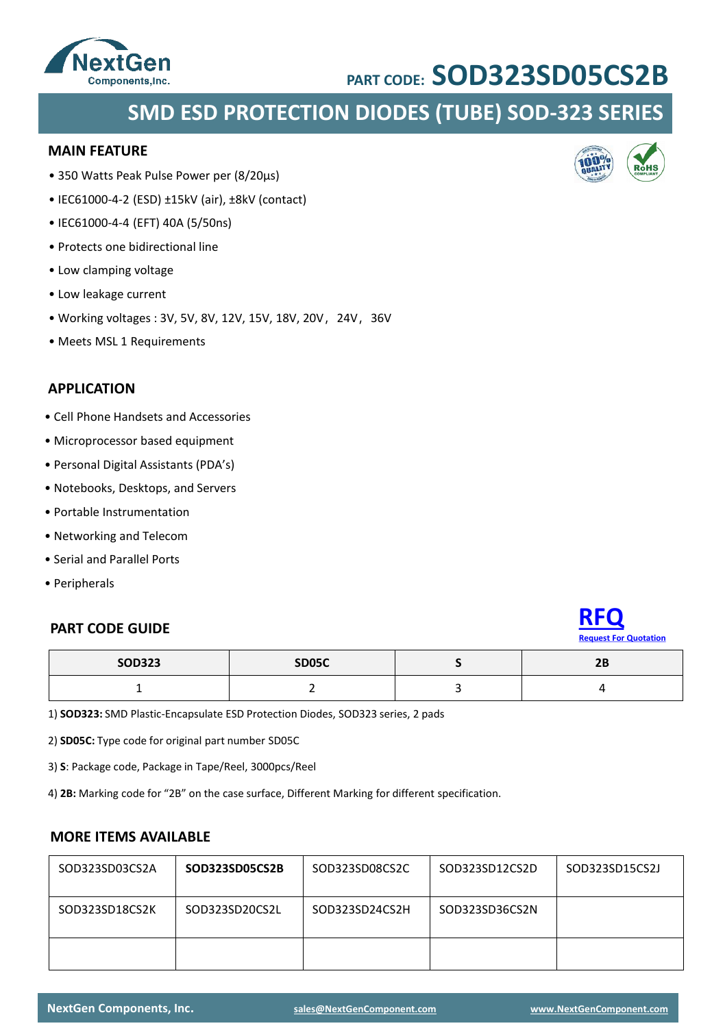

## **SMD ESD PROTECTION DIODES (TUBE) SOD-323 SERIES**

#### **MAIN FEATURE**

- 350 Watts Peak Pulse Power per (8/20μs)
- IEC61000-4-2 (ESD) ±15kV (air), ±8kV (contact)
- IEC61000-4-4 (EFT) 40A (5/50ns)
- Protects one bidirectional line
- Low clamping voltage
- Low leakage current
- Working voltages: 3V, 5V, 8V, 12V, 15V, 18V, 20V, 24V, 36V
- Meets MSL 1 Requirements

### **APPLICATION**

- Cell Phone Handsets and Accessories
- Microprocessor based equipment
- Personal Digital Assistants (PDA's)
- Notebooks, Desktops, and Servers
- Portable Instrumentation
- Networking and Telecom
- Serial and Parallel Ports
- Peripherals

# **PART CODE GUIDE [RFQ](mailto:sales@NextGenComponent.com?subject=RFQ%20for%20PART%20CODE:%25SOD323SD05CS2B)**



| <b>SOD323</b> | <b>SD05C</b> | <b>DD</b><br>4D |
|---------------|--------------|-----------------|
| --            |              |                 |

1) **SOD323:** SMD Plastic-Encapsulate ESD Protection Diodes, SOD323 series, 2 pads

2) **SD05C:** Type code for original part number SD05C

3) **S**: Package code, Package in Tape/Reel, 3000pcs/Reel

4) **2B:** Marking code for "2B" on the case surface, Different Marking for different specification.

### **MORE ITEMS AVAILABLE**

| SOD323SD03CS2A | SOD323SD05CS2B | SOD323SD08CS2C | SOD323SD12CS2D | SOD323SD15CS2J |
|----------------|----------------|----------------|----------------|----------------|
| SOD323SD18CS2K | SOD323SD20CS2L | SOD323SD24CS2H | SOD323SD36CS2N |                |
|                |                |                |                |                |

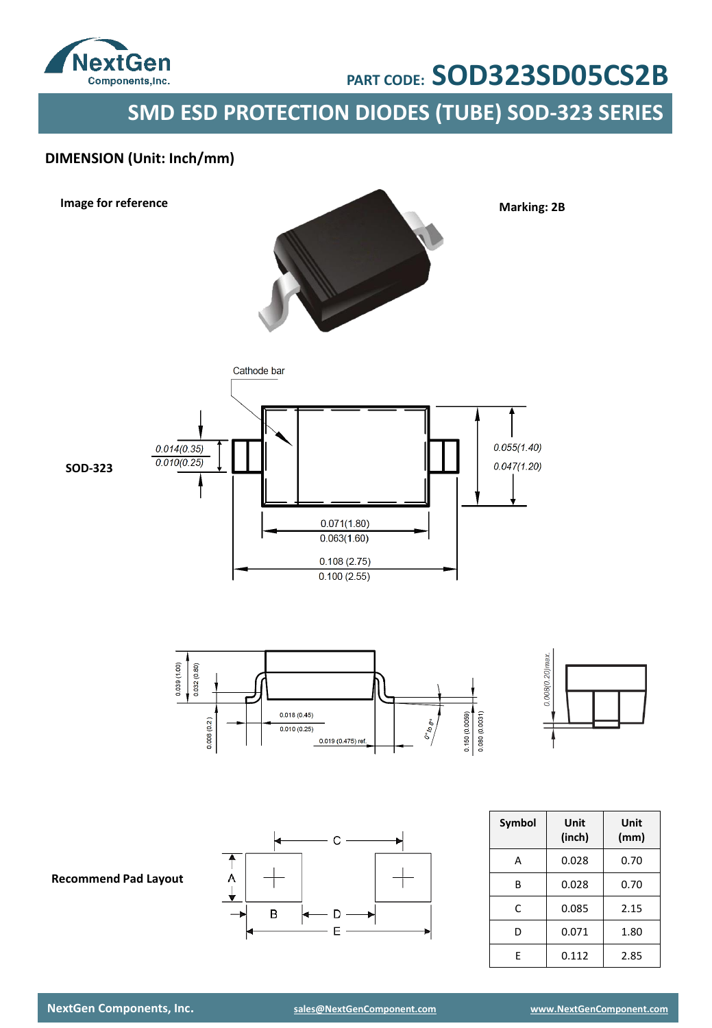

**SMD ESD PROTECTION DIODES (TUBE) SOD-323 SERIES**

## **DIMENSION (Unit: Inch/mm)**

**Image for reference**



**Marking: 2B**



 $0.039(1.00)$  $0.032(0.80)$  $\begin{array}{r} 0.150\,(0.0059)\\ 0.080\,(0.0031) \end{array}$  $0.018(0.45)$  $\frac{\partial^o\phi}{\partial \varphi^o}$  $0.008(0.2)$  $0.010(0.25)$ 0.019 (0.475) ref.



C A  $\mathsf B$ - D - $\mathsf E$ 

| <b>Symbol</b> | Unit<br>(inch) | Unit<br>(mm) |
|---------------|----------------|--------------|
| А             | 0.028          | 0.70         |
| В             | 0.028          | 0.70         |
| Ċ             | 0.085          | 2.15         |
| D             | 0.071          | 1.80         |
| F             | 0.112          | 2.85         |

**Recommend Pad Layout**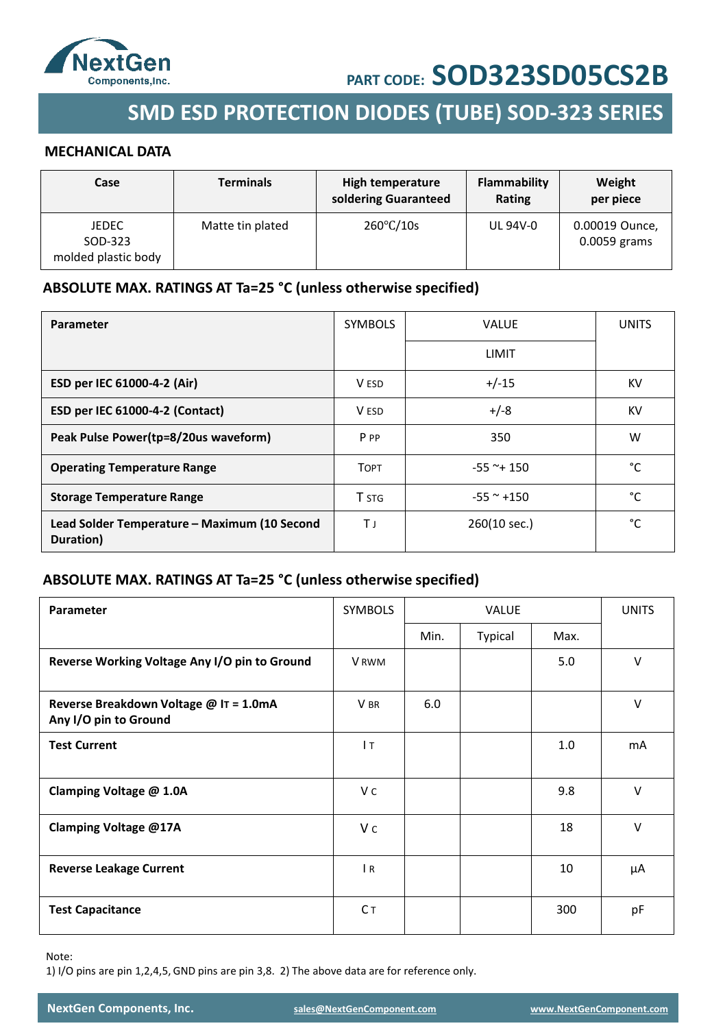

## **SMD ESD PROTECTION DIODES (TUBE) SOD-323 SERIES**

#### **MECHANICAL DATA**

| Case                                    | <b>Terminals</b> | High temperature<br>soldering Guaranteed | Flammability<br>Rating | Weight<br>per piece            |
|-----------------------------------------|------------------|------------------------------------------|------------------------|--------------------------------|
| JEDEC<br>SOD-323<br>molded plastic body | Matte tin plated | $260^{\circ}$ C/10s                      | UL 94V-0               | 0.00019 Ounce,<br>0.0059 grams |

### **ABSOLUTE MAX. RATINGS AT Ta=25 °C (unless otherwise specified)**

| Parameter                                                 | <b>SYMBOLS</b> | <b>VALUE</b>   | <b>UNITS</b> |
|-----------------------------------------------------------|----------------|----------------|--------------|
|                                                           |                | LIMIT          |              |
| ESD per IEC 61000-4-2 (Air)                               | V ESD          | $+/-15$        | KV           |
| ESD per IEC 61000-4-2 (Contact)                           | V ESD          | $+/-8$         | KV           |
| Peak Pulse Power(tp=8/20us waveform)                      | P PP           | 350            | W            |
| <b>Operating Temperature Range</b>                        | <b>TOPT</b>    | $-55$ ~+ 150   | °C           |
| <b>Storage Temperature Range</b>                          | <b>T</b> STG   | $-55$ ~ $+150$ | °C           |
| Lead Solder Temperature - Maximum (10 Second<br>Duration) | ТJ             | 260(10 sec.)   | °C           |

## **ABSOLUTE MAX. RATINGS AT Ta=25 °C (unless otherwise specified)**

| <b>Parameter</b>                                                | <b>SYMBOLS</b> |      | <b>VALUE</b> |      |        |
|-----------------------------------------------------------------|----------------|------|--------------|------|--------|
|                                                                 |                | Min. | Typical      | Max. |        |
| Reverse Working Voltage Any I/O pin to Ground                   | <b>V</b> RWM   |      |              | 5.0  | $\vee$ |
| Reverse Breakdown Voltage @ IT = 1.0mA<br>Any I/O pin to Ground | V BR           | 6.0  |              |      | $\vee$ |
| <b>Test Current</b>                                             | 1T             |      |              | 1.0  | mA     |
| Clamping Voltage @ 1.0A                                         | V c            |      |              | 9.8  | $\vee$ |
| Clamping Voltage @17A                                           | V c            |      |              | 18   | $\vee$ |
| <b>Reverse Leakage Current</b>                                  | $\overline{R}$ |      |              | 10   | μA     |
| <b>Test Capacitance</b>                                         | Cт             |      |              | 300  | pF     |

Note:

1) I/O pins are pin 1,2,4,5, GND pins are pin 3,8. 2) The above data are for reference only.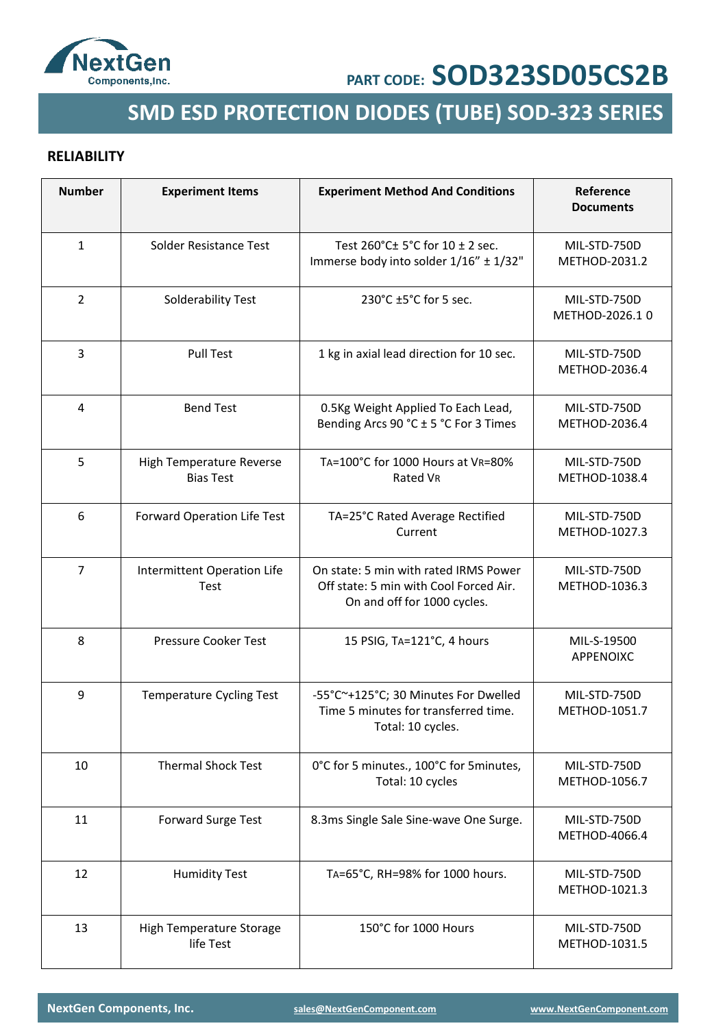

# **SMD ESD PROTECTION DIODES (TUBE) SOD-323 SERIES**

### **RELIABILITY**

| <b>Number</b>  | <b>Experiment Items</b>                      | <b>Experiment Method And Conditions</b>                                                                        | Reference<br><b>Documents</b>  |
|----------------|----------------------------------------------|----------------------------------------------------------------------------------------------------------------|--------------------------------|
| $\mathbf{1}$   | Solder Resistance Test                       | Test 260°C± 5°C for 10 ± 2 sec.<br>Immerse body into solder 1/16" ± 1/32"                                      | MIL-STD-750D<br>METHOD-2031.2  |
| 2              | Solderability Test                           | 230°C ±5°C for 5 sec.                                                                                          | MIL-STD-750D<br>METHOD-2026.10 |
| 3              | <b>Pull Test</b>                             | 1 kg in axial lead direction for 10 sec.                                                                       | MIL-STD-750D<br>METHOD-2036.4  |
| 4              | <b>Bend Test</b>                             | 0.5Kg Weight Applied To Each Lead,<br>Bending Arcs 90 °C ± 5 °C For 3 Times                                    | MIL-STD-750D<br>METHOD-2036.4  |
| 5              | High Temperature Reverse<br><b>Bias Test</b> | TA=100°C for 1000 Hours at VR=80%<br>Rated VR                                                                  | MIL-STD-750D<br>METHOD-1038.4  |
| 6              | Forward Operation Life Test                  | TA=25°C Rated Average Rectified<br>Current                                                                     | MIL-STD-750D<br>METHOD-1027.3  |
| $\overline{7}$ | Intermittent Operation Life<br>Test          | On state: 5 min with rated IRMS Power<br>Off state: 5 min with Cool Forced Air.<br>On and off for 1000 cycles. | MIL-STD-750D<br>METHOD-1036.3  |
| 8              | Pressure Cooker Test                         | 15 PSIG, TA=121°C, 4 hours                                                                                     | MIL-S-19500<br>APPENOIXC       |
| 9              | <b>Temperature Cycling Test</b>              | -55°C~+125°C; 30 Minutes For Dwelled<br>Time 5 minutes for transferred time.<br>Total: 10 cycles.              | MIL-STD-750D<br>METHOD-1051.7  |
| 10             | <b>Thermal Shock Test</b>                    | 0°C for 5 minutes., 100°C for 5 minutes,<br>Total: 10 cycles                                                   | MIL-STD-750D<br>METHOD-1056.7  |
| 11             | Forward Surge Test                           | 8.3ms Single Sale Sine-wave One Surge.                                                                         | MIL-STD-750D<br>METHOD-4066.4  |
| 12             | <b>Humidity Test</b>                         | TA=65°C, RH=98% for 1000 hours.                                                                                | MIL-STD-750D<br>METHOD-1021.3  |
| 13             | High Temperature Storage<br>life Test        | 150°C for 1000 Hours                                                                                           | MIL-STD-750D<br>METHOD-1031.5  |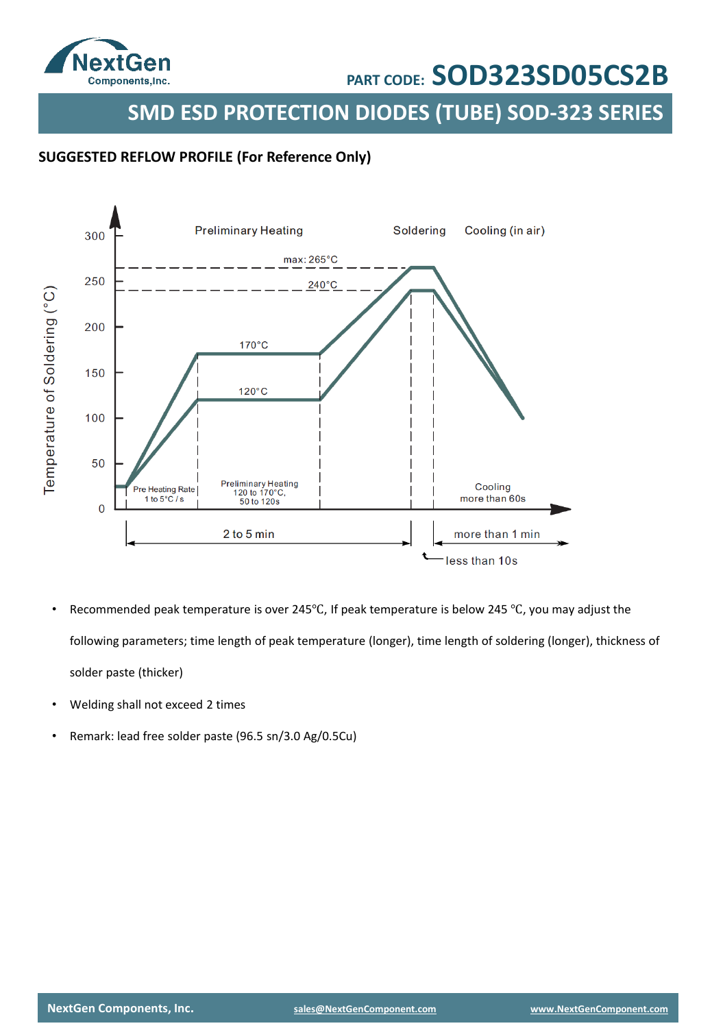

**SMD ESD PROTECTION DIODES (TUBE) SOD-323 SERIES**

### **SUGGESTED REFLOW PROFILE (For Reference Only)**



- Recommended peak temperature is over 245℃, If peak temperature is below 245 ℃, you may adjust the following parameters; time length of peak temperature (longer), time length of soldering (longer), thickness of solder paste (thicker)
- Welding shall not exceed 2 times
- Remark: lead free solder paste (96.5 sn/3.0 Ag/0.5Cu)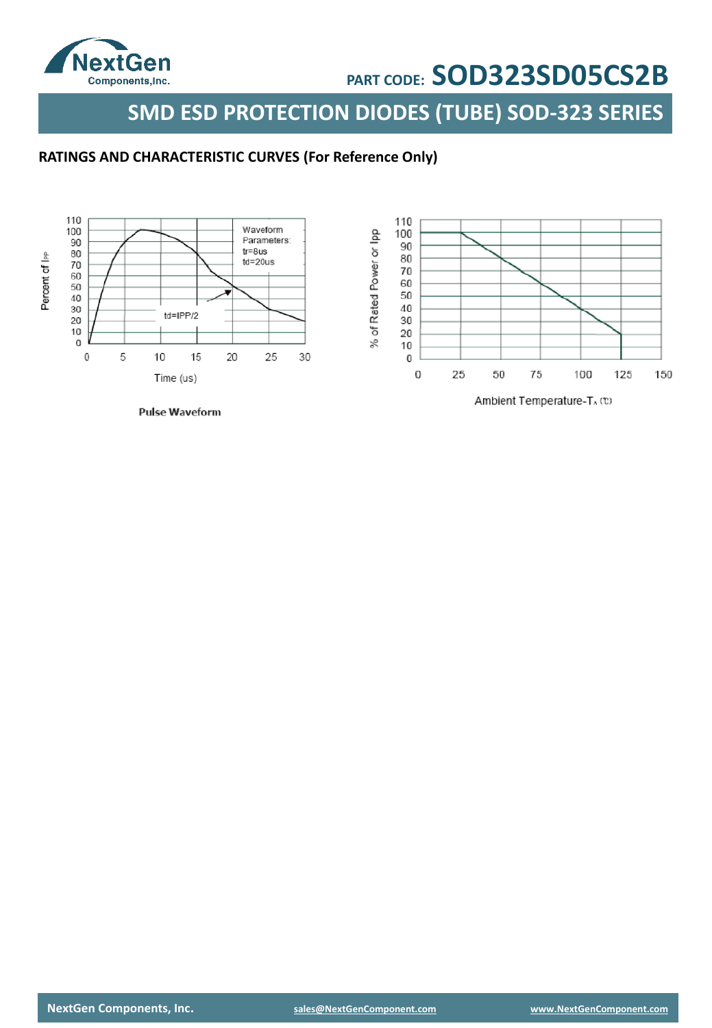

**SMD ESD PROTECTION DIODES (TUBE) SOD-323 SERIES**

### **RATINGS AND CHARACTERISTIC CURVES (For Reference Only)**

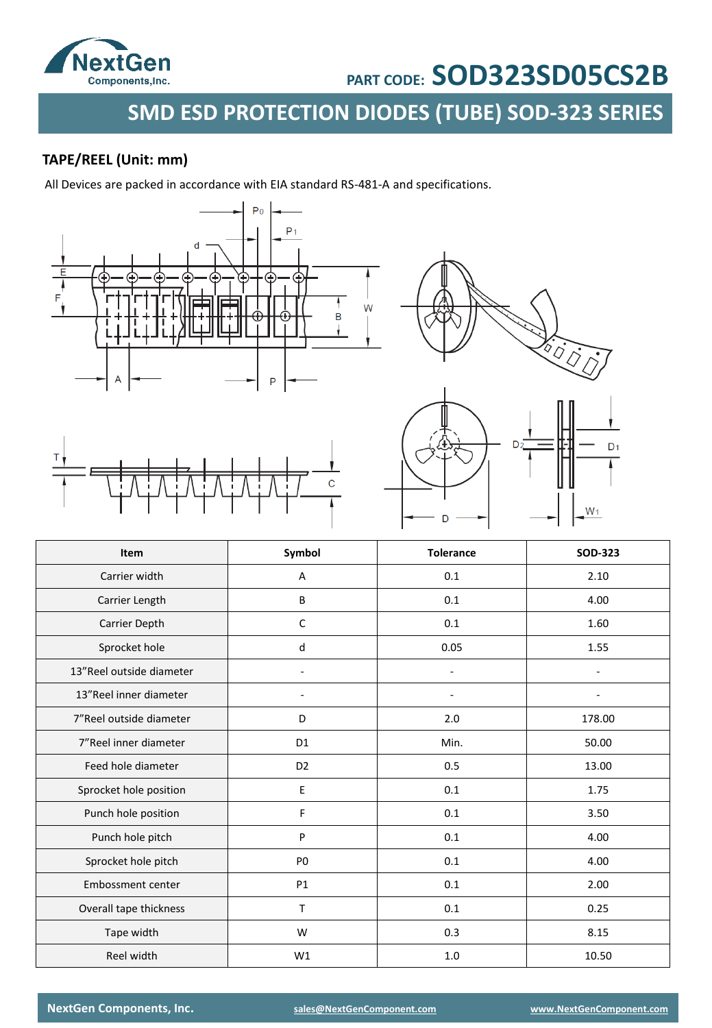

**SMD ESD PROTECTION DIODES (TUBE) SOD-323 SERIES**

## **TAPE/REEL (Unit: mm)**

All Devices are packed in accordance with EIA standard RS-481-A and specifications.







| Item                     | Symbol         | <b>Tolerance</b> | <b>SOD-323</b> |
|--------------------------|----------------|------------------|----------------|
| Carrier width            | А              | 0.1              | 2.10           |
| Carrier Length           | B              | 0.1              | 4.00           |
| Carrier Depth            | C              | 0.1              | 1.60           |
| Sprocket hole            | d              | 0.05             | 1.55           |
| 13"Reel outside diameter |                | L,               |                |
| 13"Reel inner diameter   |                |                  |                |
| 7"Reel outside diameter  | D              | 2.0              | 178.00         |
| 7"Reel inner diameter    | D1             | Min.             | 50.00          |
| Feed hole diameter       | D <sub>2</sub> | 0.5              | 13.00          |
| Sprocket hole position   | Е              | 0.1              | 1.75           |
| Punch hole position      | F              | 0.1              | 3.50           |
| Punch hole pitch         | P              | 0.1              | 4.00           |
| Sprocket hole pitch      | P <sub>0</sub> | 0.1              | 4.00           |
| Embossment center        | <b>P1</b>      | 0.1              | 2.00           |
| Overall tape thickness   | T              | 0.1              | 0.25           |
| Tape width               | W              | 0.3              | 8.15           |
| Reel width               | W1             | 1.0              | 10.50          |

**NextGen Components, Inc. [sales@NextGenComponent.com](mailto:sales@NextGenComponent.com) [www.NextGenComponent.com](http://www.nextgencomponent.com/)**